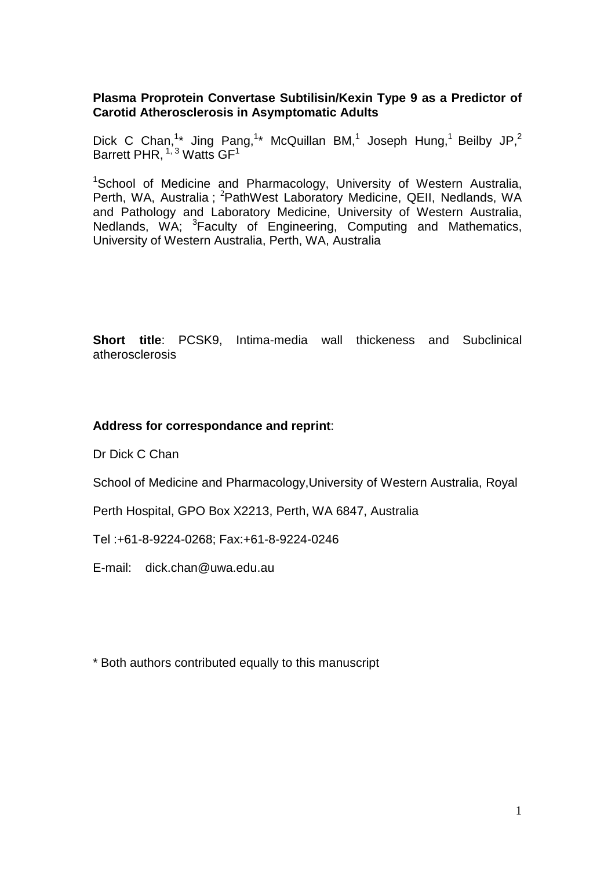# **Plasma Proprotein Convertase Subtilisin/Kexin Type 9 as a Predictor of Carotid Atherosclerosis in Asymptomatic Adults**

Dick C Chan,<sup>1\*</sup> Jing Pang,<sup>1\*</sup> McQuillan BM,<sup>1</sup> Joseph Hung,<sup>1</sup> Beilby JP,<sup>2</sup> Barrett PHR,  $1/3$  Watts GF<sup>1</sup>

<sup>1</sup>School of Medicine and Pharmacology, University of Western Australia, Perth, WA, Australia; <sup>2</sup>PathWest Laboratory Medicine, QEII, Nedlands, WA and Pathology and Laboratory Medicine, University of Western Australia, Nedlands, WA; <sup>3</sup>Faculty of Engineering, Computing and Mathematics, University of Western Australia, Perth, WA, Australia

**Short title**: PCSK9, Intima-media wall thickeness and Subclinical atherosclerosis

# **Address for correspondance and reprint**:

Dr Dick C Chan

School of Medicine and Pharmacology,University of Western Australia, Royal

Perth Hospital, GPO Box X2213, Perth, WA 6847, Australia

Tel :+61-8-9224-0268; Fax:+61-8-9224-0246

E-mail: dick.chan@uwa.edu.au

\* Both authors contributed equally to this manuscript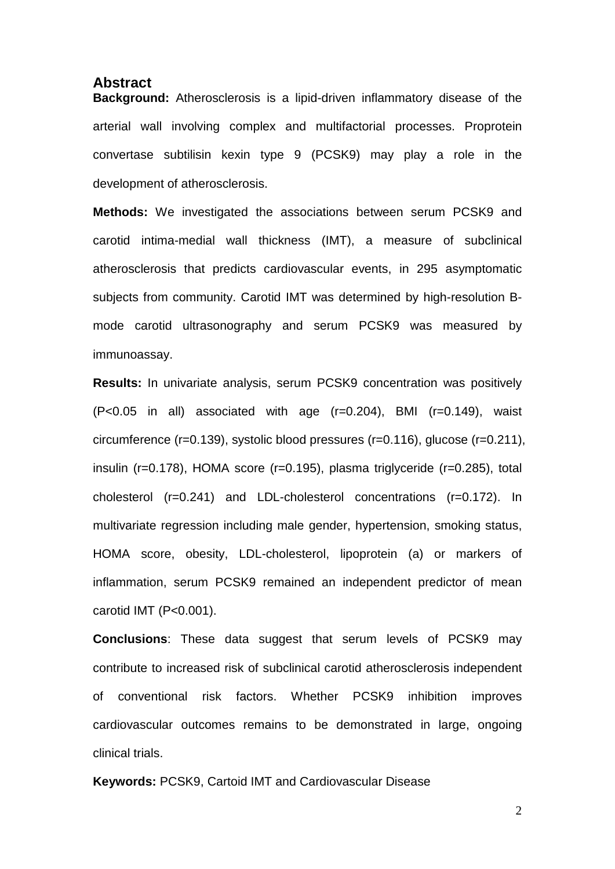## **Abstract**

**Background:** Atherosclerosis is a lipid-driven inflammatory disease of the arterial wall involving complex and multifactorial processes. Proprotein convertase subtilisin kexin type 9 (PCSK9) may play a role in the development of atherosclerosis.

**Methods:** We investigated the associations between serum PCSK9 and carotid intima-medial wall thickness (IMT), a measure of subclinical atherosclerosis that predicts cardiovascular events, in 295 asymptomatic subjects from community. Carotid IMT was determined by high-resolution Bmode carotid ultrasonography and serum PCSK9 was measured by immunoassay.

**Results:** In univariate analysis, serum PCSK9 concentration was positively  $(P<0.05$  in all) associated with age  $(r=0.204)$ , BMI  $(r=0.149)$ , waist circumference (r=0.139), systolic blood pressures (r=0.116), glucose (r=0.211), insulin (r=0.178), HOMA score (r=0.195), plasma triglyceride (r=0.285), total cholesterol (r=0.241) and LDL-cholesterol concentrations (r=0.172). In multivariate regression including male gender, hypertension, smoking status, HOMA score, obesity, LDL-cholesterol, lipoprotein (a) or markers of inflammation, serum PCSK9 remained an independent predictor of mean carotid IMT (P<0.001).

**Conclusions**: These data suggest that serum levels of PCSK9 may contribute to increased risk of subclinical carotid atherosclerosis independent of conventional risk factors. Whether PCSK9 inhibition improves cardiovascular outcomes remains to be demonstrated in large, ongoing clinical trials.

**Keywords:** PCSK9, Cartoid IMT and Cardiovascular Disease

 $\mathfrak{D}$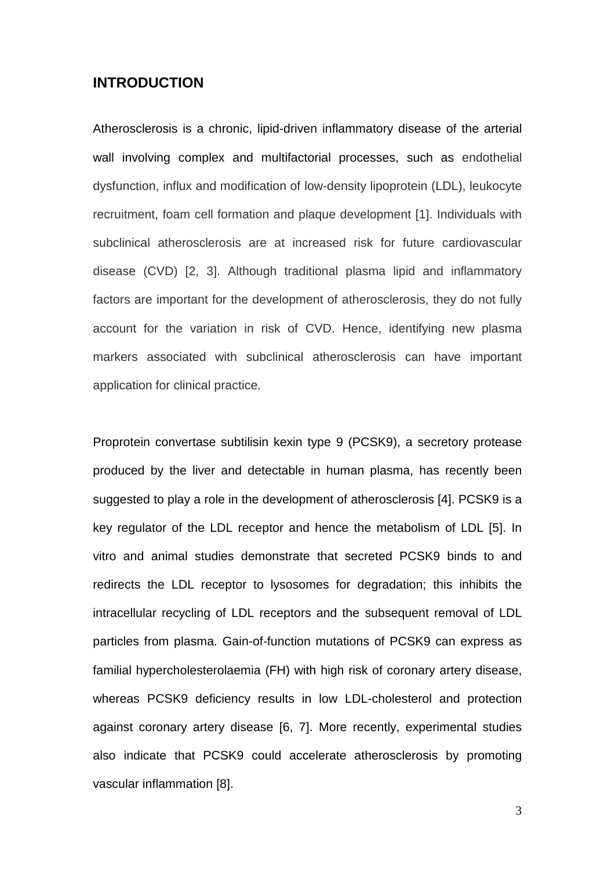# **INTRODUCTION**

Atherosclerosis is a chronic, lipid-driven inflammatory disease of the arterial wall involving complex and multifactorial processes, such as endothelial dysfunction, influx and modification of low-density lipoprotein (LDL), leukocyte recruitment, foam cell formation and plaque development [1]. Individuals with subclinical atherosclerosis are at increased risk for future cardiovascular disease (CVD) [2, 3]. Although traditional plasma lipid and inflammatory factors are important for the development of atherosclerosis, they do not fully account for the variation in risk of CVD. Hence, identifying new plasma markers associated with subclinical atherosclerosis can have important application for clinical practice.

Proprotein convertase subtilisin kexin type 9 (PCSK9), a secretory protease produced by the liver and detectable in human plasma, has recently been suggested to play a role in the development of atherosclerosis [4]. PCSK9 is a key regulator of the LDL receptor and hence the metabolism of LDL [5]. In vitro and animal studies demonstrate that secreted PCSK9 binds to and redirects the LDL receptor to lysosomes for degradation; this inhibits the intracellular recycling of LDL receptors and the subsequent removal of LDL particles from plasma. Gain-of-function mutations of PCSK9 can express as familial hypercholesterolaemia (FH) with high risk of coronary artery disease, whereas PCSK9 deficiency results in low LDL-cholesterol and protection against coronary artery disease [6, 7]. More recently, experimental studies also indicate that PCSK9 could accelerate atherosclerosis by promoting vascular inflammation [8].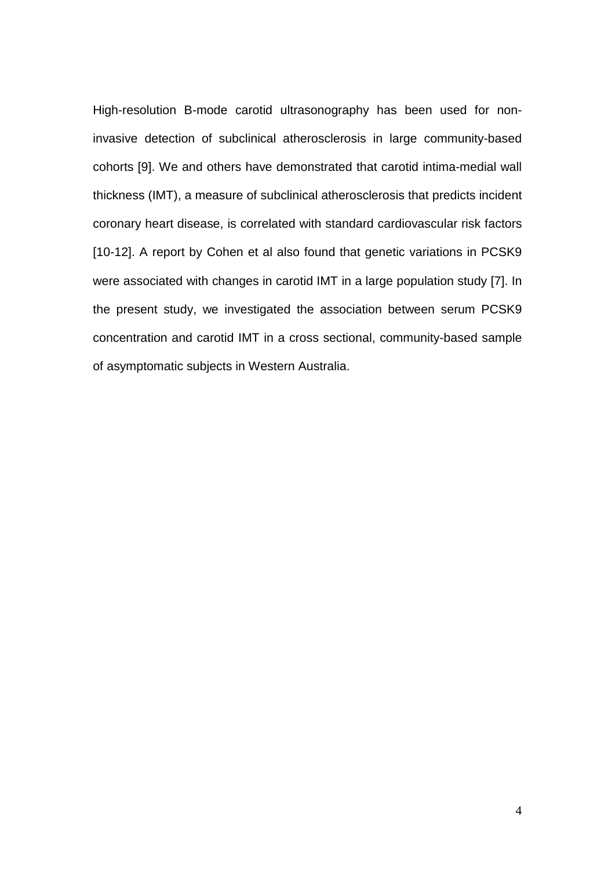High-resolution B-mode carotid ultrasonography has been used for noninvasive detection of subclinical atherosclerosis in large community-based cohorts [9]. We and others have demonstrated that carotid intima-medial wall thickness (IMT), a measure of subclinical atherosclerosis that predicts incident coronary heart disease, is correlated with standard cardiovascular risk factors [10-12]. A report by Cohen et al also found that genetic variations in PCSK9 were associated with changes in carotid IMT in a large population study [7]. In the present study, we investigated the association between serum PCSK9 concentration and carotid IMT in a cross sectional, community-based sample of asymptomatic subjects in Western Australia.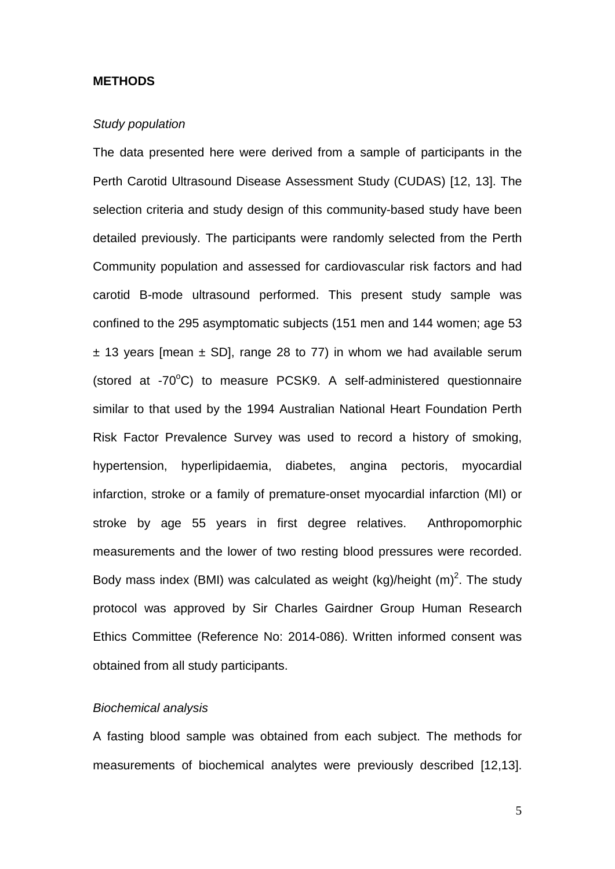### **METHODS**

### *Study population*

The data presented here were derived from a sample of participants in the Perth Carotid Ultrasound Disease Assessment Study (CUDAS) [12, 13]. The selection criteria and study design of this community-based study have been detailed previously. The participants were randomly selected from the Perth Community population and assessed for cardiovascular risk factors and had carotid B-mode ultrasound performed. This present study sample was confined to the 295 asymptomatic subjects (151 men and 144 women; age 53  $\pm$  13 years [mean  $\pm$  SD], range 28 to 77) in whom we had available serum (stored at -70°C) to measure PCSK9. A self-administered questionnaire similar to that used by the 1994 Australian National Heart Foundation Perth Risk Factor Prevalence Survey was used to record a history of smoking, hypertension, hyperlipidaemia, diabetes, angina pectoris, myocardial infarction, stroke or a family of premature-onset myocardial infarction (MI) or stroke by age 55 years in first degree relatives. Anthropomorphic measurements and the lower of two resting blood pressures were recorded. Body mass index (BMI) was calculated as weight (kg)/height  $(m)^2$ . The study protocol was approved by Sir Charles Gairdner Group Human Research Ethics Committee (Reference No: 2014-086). Written informed consent was obtained from all study participants.

## *Biochemical analysis*

A fasting blood sample was obtained from each subject. The methods for measurements of biochemical analytes were previously described [12,13].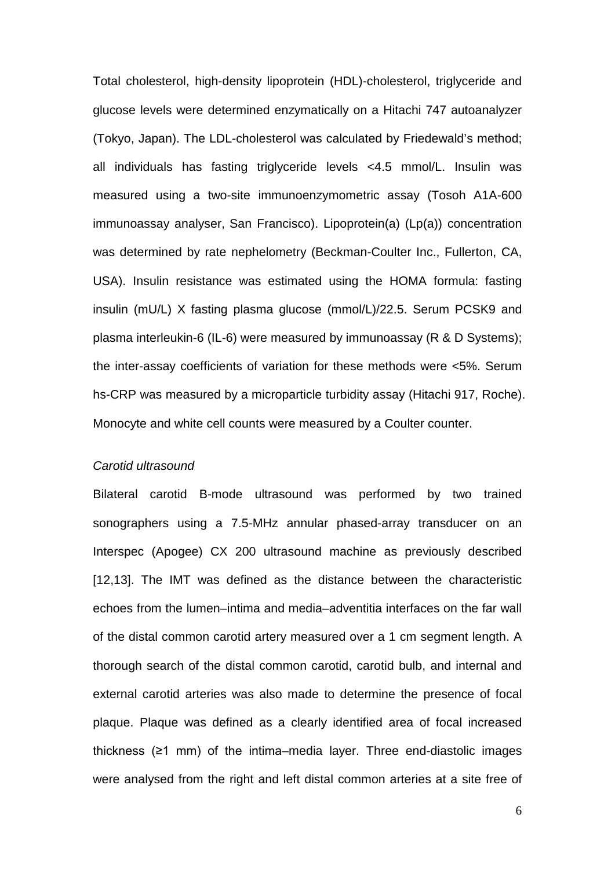Total cholesterol, high-density lipoprotein (HDL)-cholesterol, triglyceride and glucose levels were determined enzymatically on a Hitachi 747 autoanalyzer (Tokyo, Japan). The LDL-cholesterol was calculated by Friedewald's method; all individuals has fasting triglyceride levels <4.5 mmol/L. Insulin was measured using a two-site immunoenzymometric assay (Tosoh A1A-600 immunoassay analyser, San Francisco). Lipoprotein(a) (Lp(a)) concentration was determined by rate nephelometry (Beckman-Coulter Inc., Fullerton, CA, USA). Insulin resistance was estimated using the HOMA formula: fasting insulin (mU/L) X fasting plasma glucose (mmol/L)/22.5. Serum PCSK9 and plasma interleukin-6 (IL-6) were measured by immunoassay (R & D Systems); the inter-assay coefficients of variation for these methods were <5%. Serum hs-CRP was measured by a microparticle turbidity assay (Hitachi 917, Roche). Monocyte and white cell counts were measured by a Coulter counter.

#### *Carotid ultrasound*

Bilateral carotid B-mode ultrasound was performed by two trained sonographers using a 7.5-MHz annular phased-array transducer on an Interspec (Apogee) CX 200 ultrasound machine as previously described [12,13]. The IMT was defined as the distance between the characteristic echoes from the lumen–intima and media–adventitia interfaces on the far wall of the distal common carotid artery measured over a 1 cm segment length. A thorough search of the distal common carotid, carotid bulb, and internal and external carotid arteries was also made to determine the presence of focal plaque. Plaque was defined as a clearly identified area of focal increased thickness (≥1 mm) of the intima–media layer. Three end-diastolic images were analysed from the right and left distal common arteries at a site free of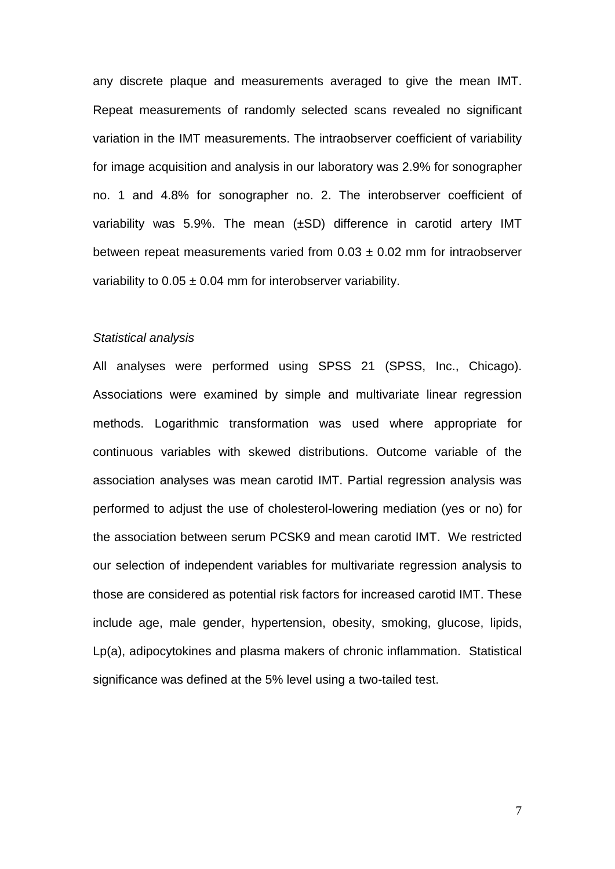any discrete plaque and measurements averaged to give the mean IMT. Repeat measurements of randomly selected scans revealed no significant variation in the IMT measurements. The intraobserver coefficient of variability for image acquisition and analysis in our laboratory was 2.9% for sonographer no. 1 and 4.8% for sonographer no. 2. The interobserver coefficient of variability was 5.9%. The mean (±SD) difference in carotid artery IMT between repeat measurements varied from  $0.03 \pm 0.02$  mm for intraobserver variability to  $0.05 \pm 0.04$  mm for interobserver variability.

### *Statistical analysis*

All analyses were performed using SPSS 21 (SPSS, Inc., Chicago). Associations were examined by simple and multivariate linear regression methods. Logarithmic transformation was used where appropriate for continuous variables with skewed distributions. Outcome variable of the association analyses was mean carotid IMT. Partial regression analysis was performed to adjust the use of cholesterol-lowering mediation (yes or no) for the association between serum PCSK9 and mean carotid IMT. We restricted our selection of independent variables for multivariate regression analysis to those are considered as potential risk factors for increased carotid IMT. These include age, male gender, hypertension, obesity, smoking, glucose, lipids, Lp(a), adipocytokines and plasma makers of chronic inflammation. Statistical significance was defined at the 5% level using a two-tailed test.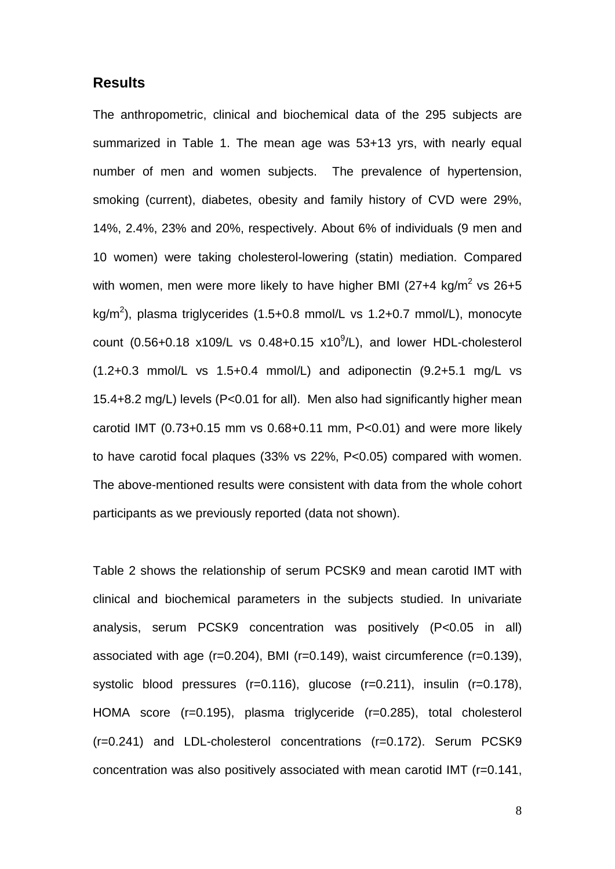## **Results**

The anthropometric, clinical and biochemical data of the 295 subjects are summarized in Table 1. The mean age was 53+13 yrs, with nearly equal number of men and women subjects. The prevalence of hypertension, smoking (current), diabetes, obesity and family history of CVD were 29%, 14%, 2.4%, 23% and 20%, respectively. About 6% of individuals (9 men and 10 women) were taking cholesterol-lowering (statin) mediation. Compared with women, men were more likely to have higher BMI ( $27+4$  kg/m<sup>2</sup> vs  $26+5$ kg/m<sup>2</sup>), plasma triglycerides (1.5+0.8 mmol/L vs 1.2+0.7 mmol/L), monocyte count  $(0.56+0.18 \times 109$ /L vs  $0.48+0.15 \times 10^{9}$ /L), and lower HDL-cholesterol (1.2+0.3 mmol/L vs 1.5+0.4 mmol/L) and adiponectin (9.2+5.1 mg/L vs 15.4+8.2 mg/L) levels (P<0.01 for all). Men also had significantly higher mean carotid IMT (0.73+0.15 mm vs 0.68+0.11 mm, P<0.01) and were more likely to have carotid focal plaques (33% vs 22%, P<0.05) compared with women. The above-mentioned results were consistent with data from the whole cohort participants as we previously reported (data not shown).

Table 2 shows the relationship of serum PCSK9 and mean carotid IMT with clinical and biochemical parameters in the subjects studied. In univariate analysis, serum PCSK9 concentration was positively (P<0.05 in all) associated with age (r=0.204), BMI (r=0.149), waist circumference (r=0.139), systolic blood pressures (r=0.116), glucose (r=0.211), insulin (r=0.178), HOMA score (r=0.195), plasma triglyceride (r=0.285), total cholesterol (r=0.241) and LDL-cholesterol concentrations (r=0.172). Serum PCSK9 concentration was also positively associated with mean carotid IMT (r=0.141,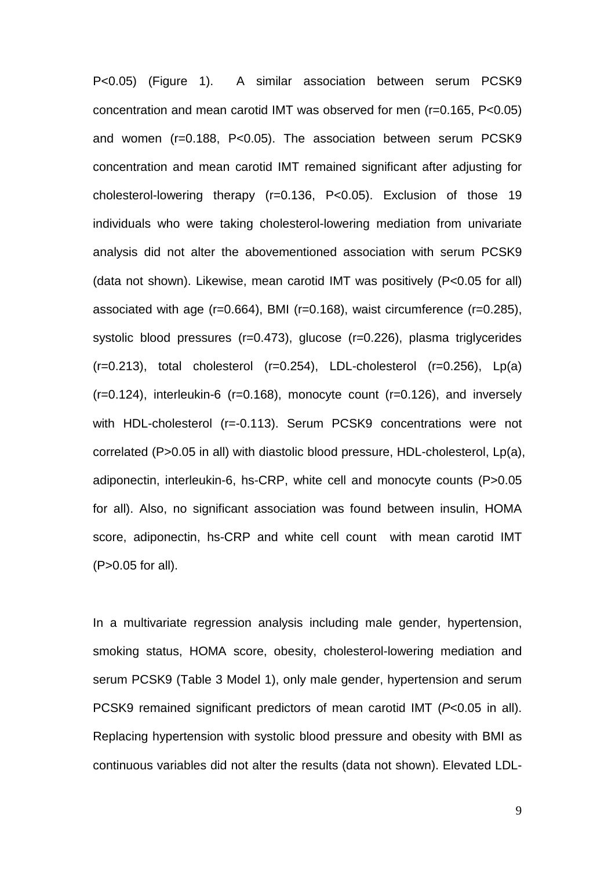P<0.05) (Figure 1). A similar association between serum PCSK9 concentration and mean carotid IMT was observed for men (r=0.165, P<0.05) and women (r=0.188, P<0.05). The association between serum PCSK9 concentration and mean carotid IMT remained significant after adjusting for cholesterol-lowering therapy (r=0.136, P<0.05). Exclusion of those 19 individuals who were taking cholesterol-lowering mediation from univariate analysis did not alter the abovementioned association with serum PCSK9 (data not shown). Likewise, mean carotid IMT was positively (P<0.05 for all) associated with age (r=0.664), BMI (r=0.168), waist circumference (r=0.285), systolic blood pressures (r=0.473), glucose (r=0.226), plasma triglycerides  $(r=0.213)$ , total cholesterol  $(r=0.254)$ , LDL-cholesterol  $(r=0.256)$ , Lp(a)  $(r=0.124)$ , interleukin-6 (r=0.168), monocyte count (r=0.126), and inversely with HDL-cholesterol (r=-0.113). Serum PCSK9 concentrations were not correlated (P>0.05 in all) with diastolic blood pressure, HDL-cholesterol, Lp(a), adiponectin, interleukin-6, hs-CRP, white cell and monocyte counts (P>0.05 for all). Also, no significant association was found between insulin, HOMA score, adiponectin, hs-CRP and white cell count with mean carotid IMT (P>0.05 for all).

In a multivariate regression analysis including male gender, hypertension, smoking status, HOMA score, obesity, cholesterol-lowering mediation and serum PCSK9 (Table 3 Model 1), only male gender, hypertension and serum PCSK9 remained significant predictors of mean carotid IMT (*P*<0.05 in all). Replacing hypertension with systolic blood pressure and obesity with BMI as continuous variables did not alter the results (data not shown). Elevated LDL-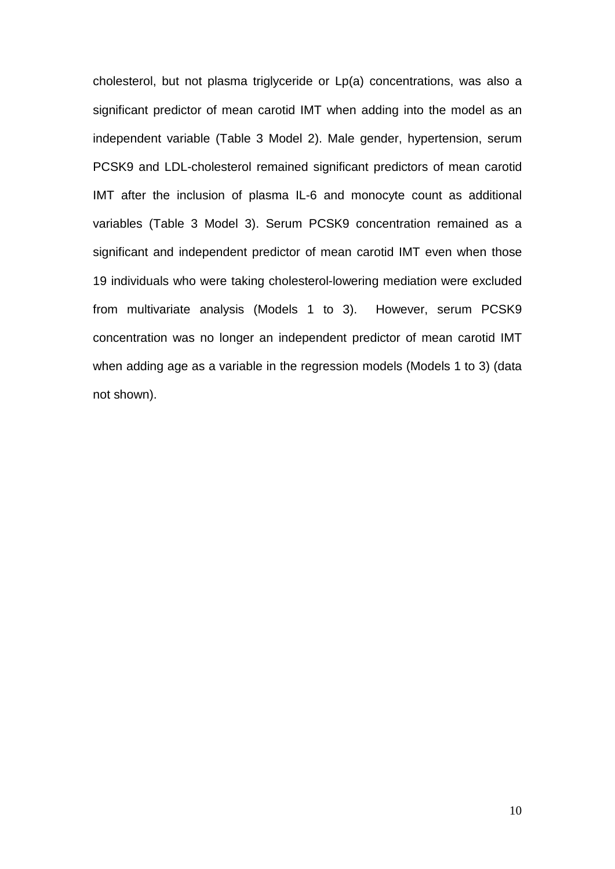cholesterol, but not plasma triglyceride or Lp(a) concentrations, was also a significant predictor of mean carotid IMT when adding into the model as an independent variable (Table 3 Model 2). Male gender, hypertension, serum PCSK9 and LDL-cholesterol remained significant predictors of mean carotid IMT after the inclusion of plasma IL-6 and monocyte count as additional variables (Table 3 Model 3). Serum PCSK9 concentration remained as a significant and independent predictor of mean carotid IMT even when those 19 individuals who were taking cholesterol-lowering mediation were excluded from multivariate analysis (Models 1 to 3). However, serum PCSK9 concentration was no longer an independent predictor of mean carotid IMT when adding age as a variable in the regression models (Models 1 to 3) (data not shown).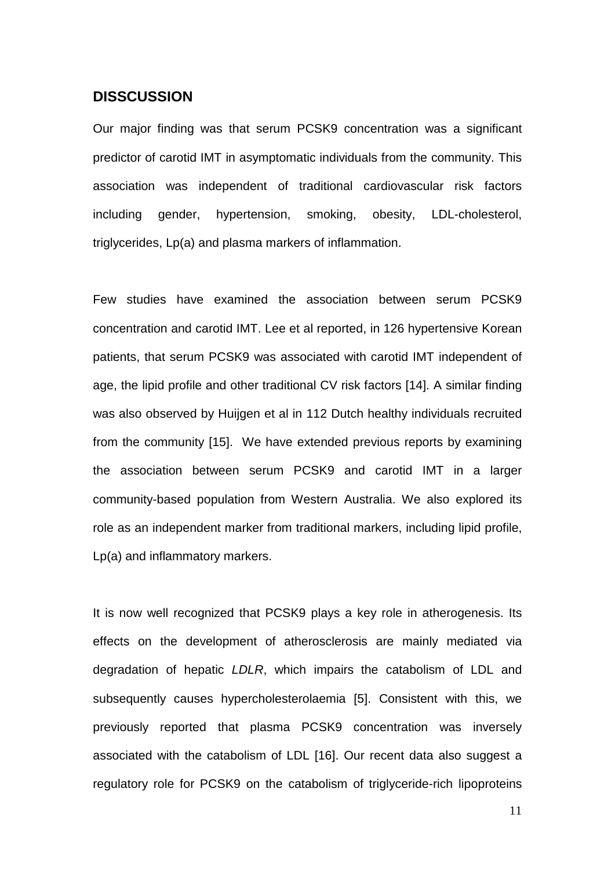## **DISSCUSSION**

Our major finding was that serum PCSK9 concentration was a significant predictor of carotid IMT in asymptomatic individuals from the community. This association was independent of traditional cardiovascular risk factors including gender, hypertension, smoking, obesity, LDL-cholesterol, triglycerides, Lp(a) and plasma markers of inflammation.

Few studies have examined the association between serum PCSK9 concentration and carotid IMT. Lee et al reported, in 126 hypertensive Korean patients, that serum PCSK9 was associated with carotid IMT independent of age, the lipid profile and other traditional CV risk factors [14]. A similar finding was also observed by Huijgen et al in 112 Dutch healthy individuals recruited from the community [15]. We have extended previous reports by examining the association between serum PCSK9 and carotid IMT in a larger community-based population from Western Australia. We also explored its role as an independent marker from traditional markers, including lipid profile, Lp(a) and inflammatory markers.

It is now well recognized that PCSK9 plays a key role in atherogenesis. Its effects on the development of atherosclerosis are mainly mediated via degradation of hepatic *LDLR*, which impairs the catabolism of LDL and subsequently causes hypercholesterolaemia [5]. Consistent with this, we previously reported that plasma PCSK9 concentration was inversely associated with the catabolism of LDL [16]. Our recent data also suggest a regulatory role for PCSK9 on the catabolism of triglyceride-rich lipoproteins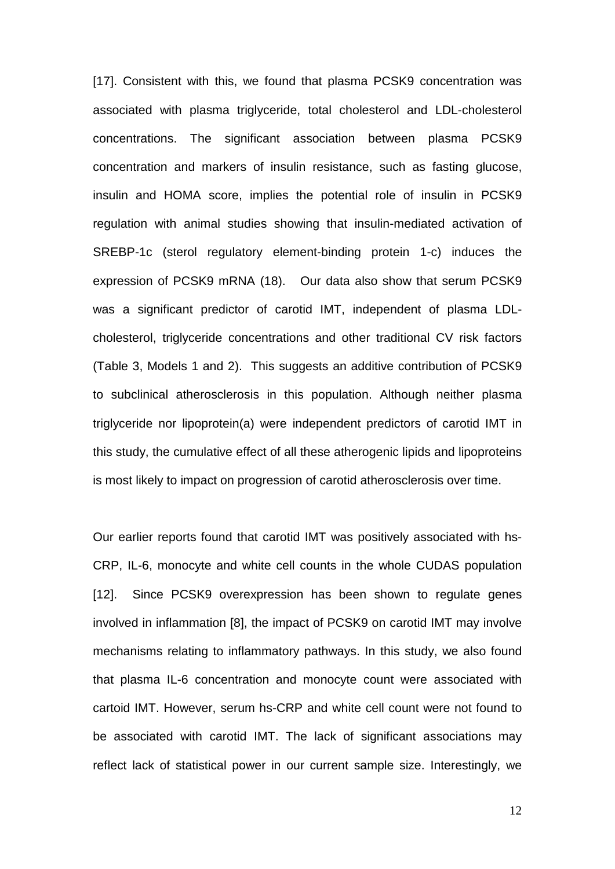[17]. Consistent with this, we found that plasma PCSK9 concentration was associated with plasma triglyceride, total cholesterol and LDL-cholesterol concentrations. The significant association between plasma PCSK9 concentration and markers of insulin resistance, such as fasting glucose, insulin and HOMA score, implies the potential role of insulin in PCSK9 regulation with animal studies showing that insulin-mediated activation of SREBP-1c (sterol regulatory element-binding protein 1-c) induces the expression of PCSK9 mRNA (18). Our data also show that serum PCSK9 was a significant predictor of carotid IMT, independent of plasma LDLcholesterol, triglyceride concentrations and other traditional CV risk factors (Table 3, Models 1 and 2). This suggests an additive contribution of PCSK9 to subclinical atherosclerosis in this population. Although neither plasma triglyceride nor lipoprotein(a) were independent predictors of carotid IMT in this study, the cumulative effect of all these atherogenic lipids and lipoproteins is most likely to impact on progression of carotid atherosclerosis over time.

Our earlier reports found that carotid IMT was positively associated with hs-CRP, IL-6, monocyte and white cell counts in the whole CUDAS population [12]. Since PCSK9 overexpression has been shown to regulate genes involved in inflammation [8], the impact of PCSK9 on carotid IMT may involve mechanisms relating to inflammatory pathways. In this study, we also found that plasma IL-6 concentration and monocyte count were associated with cartoid IMT. However, serum hs-CRP and white cell count were not found to be associated with carotid IMT. The lack of significant associations may reflect lack of statistical power in our current sample size. Interestingly, we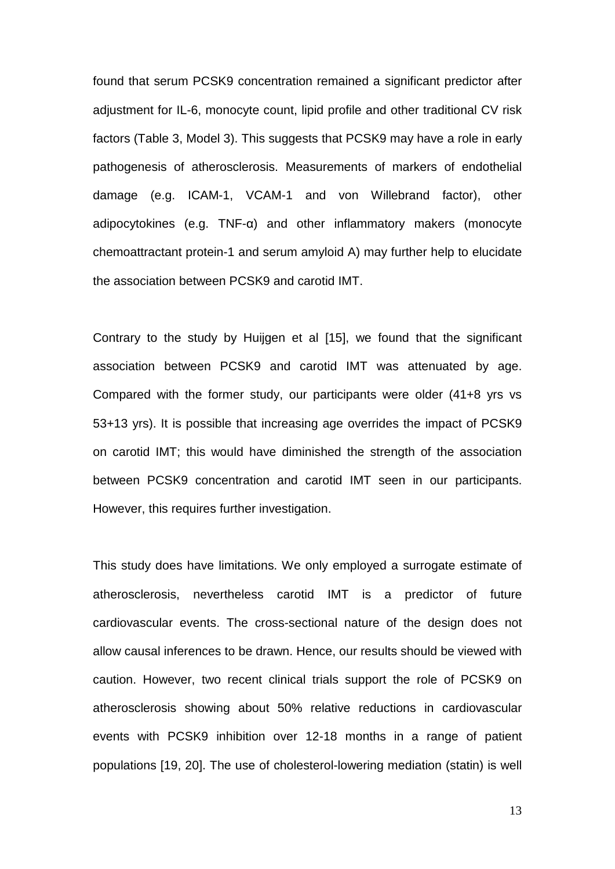found that serum PCSK9 concentration remained a significant predictor after adjustment for IL-6, monocyte count, lipid profile and other traditional CV risk factors (Table 3, Model 3). This suggests that PCSK9 may have a role in early pathogenesis of atherosclerosis. Measurements of markers of endothelial damage (e.g. ICAM-1, VCAM-1 and von Willebrand factor), other adipocytokines (e.g. TNF-α) and other inflammatory makers (monocyte chemoattractant protein-1 and serum amyloid A) may further help to elucidate the association between PCSK9 and carotid IMT.

Contrary to the study by Huijgen et al [15], we found that the significant association between PCSK9 and carotid IMT was attenuated by age. Compared with the former study, our participants were older (41+8 yrs vs 53+13 yrs). It is possible that increasing age overrides the impact of PCSK9 on carotid IMT; this would have diminished the strength of the association between PCSK9 concentration and carotid IMT seen in our participants. However, this requires further investigation.

This study does have limitations. We only employed a surrogate estimate of atherosclerosis, nevertheless carotid IMT is a predictor of future cardiovascular events. The cross-sectional nature of the design does not allow causal inferences to be drawn. Hence, our results should be viewed with caution. However, two recent clinical trials support the role of PCSK9 on atherosclerosis showing about 50% relative reductions in cardiovascular events with PCSK9 inhibition over 12-18 months in a range of patient populations [19, 20]. The use of cholesterol-lowering mediation (statin) is well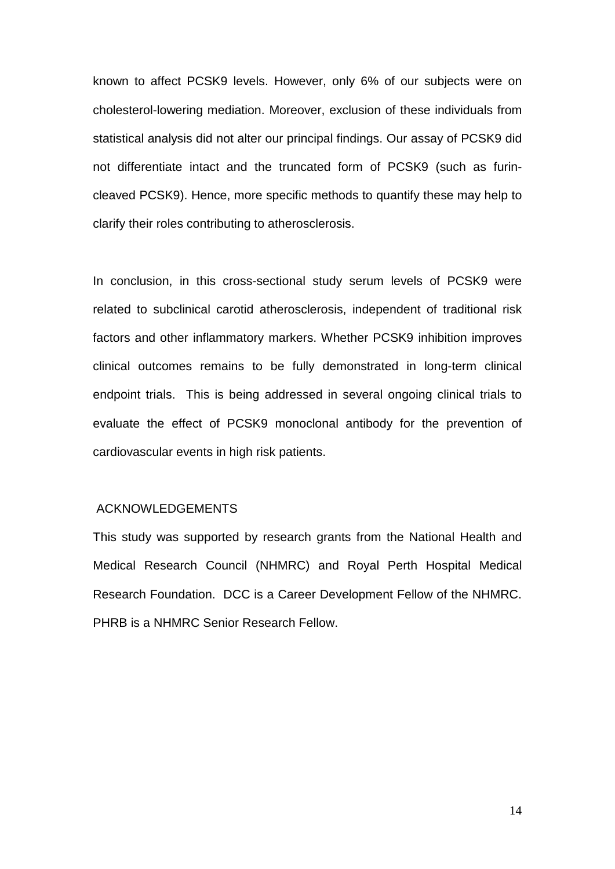known to affect PCSK9 levels. However, only 6% of our subjects were on cholesterol-lowering mediation. Moreover, exclusion of these individuals from statistical analysis did not alter our principal findings. Our assay of PCSK9 did not differentiate intact and the truncated form of PCSK9 (such as furincleaved PCSK9). Hence, more specific methods to quantify these may help to clarify their roles contributing to atherosclerosis.

In conclusion, in this cross-sectional study serum levels of PCSK9 were related to subclinical carotid atherosclerosis, independent of traditional risk factors and other inflammatory markers. Whether PCSK9 inhibition improves clinical outcomes remains to be fully demonstrated in long-term clinical endpoint trials. This is being addressed in several ongoing clinical trials to evaluate the effect of PCSK9 monoclonal antibody for the prevention of cardiovascular events in high risk patients.

## ACKNOWLEDGEMENTS

This study was supported by research grants from the National Health and Medical Research Council (NHMRC) and Royal Perth Hospital Medical Research Foundation. DCC is a Career Development Fellow of the NHMRC. PHRB is a NHMRC Senior Research Fellow.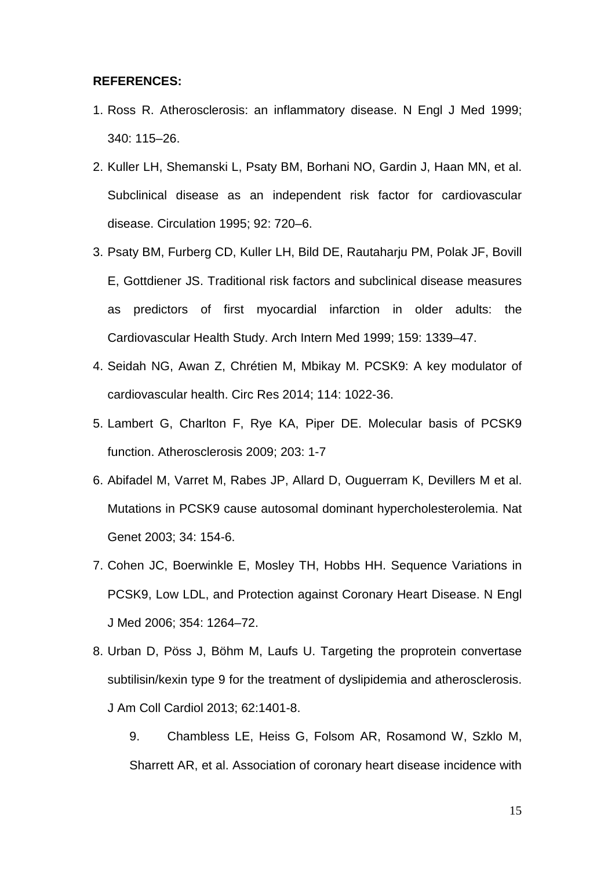### **REFERENCES:**

- 1. Ross R. Atherosclerosis: an inflammatory disease. N Engl J Med 1999; 340: 115–26.
- 2. Kuller LH, Shemanski L, Psaty BM, Borhani NO, Gardin J, Haan MN, et al. Subclinical disease as an independent risk factor for cardiovascular disease. Circulation 1995; 92: 720–6.
- 3. Psaty BM, Furberg CD, Kuller LH, Bild DE, Rautaharju PM, Polak JF, Bovill E, Gottdiener JS. Traditional risk factors and subclinical disease measures as predictors of first myocardial infarction in older adults: the Cardiovascular Health Study. Arch Intern Med 1999; 159: 1339–47.
- 4. Seidah NG, Awan Z, Chrétien M, Mbikay M. PCSK9: A key modulator of cardiovascular health. Circ Res 2014; 114: 1022-36.
- 5. Lambert G, Charlton F, Rye KA, Piper DE. Molecular basis of PCSK9 function. Atherosclerosis 2009; 203: 1-7
- 6. Abifadel M, Varret M, Rabes JP, Allard D, Ouguerram K, Devillers M et al. Mutations in PCSK9 cause autosomal dominant hypercholesterolemia. Nat Genet 2003; 34: 154-6.
- 7. Cohen JC, Boerwinkle E, Mosley TH, Hobbs HH. Sequence Variations in PCSK9, Low LDL, and Protection against Coronary Heart Disease. N Engl J Med 2006; 354: 1264–72.
- 8. Urban D, Pöss J, Böhm M, Laufs U. Targeting the proprotein convertase subtilisin/kexin type 9 for the treatment of dyslipidemia and atherosclerosis. J Am Coll Cardiol 2013; 62:1401-8.
	- 9. Chambless LE, Heiss G, Folsom AR, Rosamond W, Szklo M, Sharrett AR, et al. Association of coronary heart disease incidence with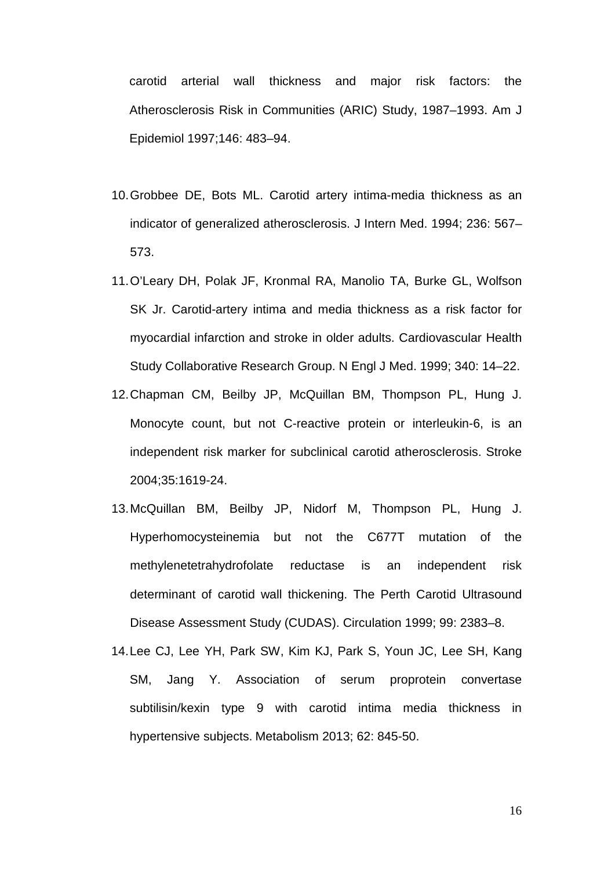carotid arterial wall thickness and major risk factors: the Atherosclerosis Risk in Communities (ARIC) Study, 1987–1993. Am J Epidemiol 1997;146: 483–94.

- 10.Grobbee DE, Bots ML. Carotid artery intima-media thickness as an indicator of generalized atherosclerosis. J Intern Med. 1994; 236: 567– 573.
- 11.O'Leary DH, Polak JF, Kronmal RA, Manolio TA, Burke GL, Wolfson SK Jr. Carotid-artery intima and media thickness as a risk factor for myocardial infarction and stroke in older adults. Cardiovascular Health Study Collaborative Research Group. N Engl J Med. 1999; 340: 14–22.
- 12.Chapman CM, Beilby JP, McQuillan BM, Thompson PL, Hung J. Monocyte count, but not C-reactive protein or interleukin-6, is an independent risk marker for subclinical carotid atherosclerosis. Stroke 2004;35:1619-24.
- 13.McQuillan BM, Beilby JP, Nidorf M, Thompson PL, Hung J. Hyperhomocysteinemia but not the C677T mutation of the methylenetetrahydrofolate reductase is an independent risk determinant of carotid wall thickening. The Perth Carotid Ultrasound Disease Assessment Study (CUDAS). Circulation 1999; 99: 2383–8.
- 14.Lee CJ, Lee YH, Park SW, Kim KJ, Park S, Youn JC, Lee SH, Kang SM, Jang Y. Association of serum proprotein convertase subtilisin/kexin type 9 with carotid intima media thickness in hypertensive subjects. Metabolism 2013; 62: 845-50.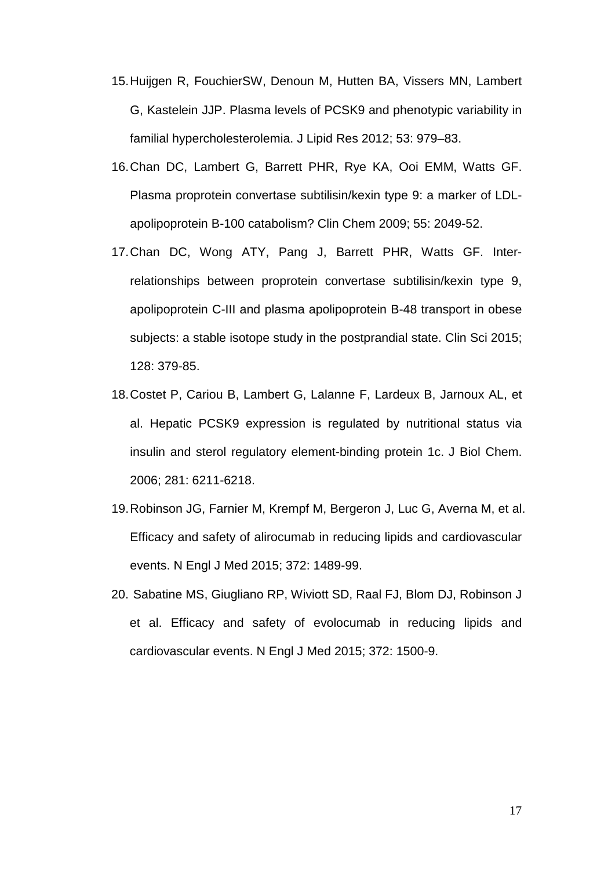- 15.Huijgen R, FouchierSW, Denoun M, Hutten BA, Vissers MN, Lambert G, Kastelein JJP. Plasma levels of PCSK9 and phenotypic variability in familial hypercholesterolemia. J Lipid Res 2012; 53: 979–83.
- 16.Chan DC, Lambert G, Barrett PHR, Rye KA, Ooi EMM, Watts GF. Plasma proprotein convertase subtilisin/kexin type 9: a marker of LDLapolipoprotein B-100 catabolism? Clin Chem 2009; 55: 2049-52.
- 17.Chan DC, Wong ATY, Pang J, Barrett PHR, Watts GF. Interrelationships between proprotein convertase subtilisin/kexin type 9, apolipoprotein C-III and plasma apolipoprotein B-48 transport in obese subjects: a stable isotope study in the postprandial state. Clin Sci 2015; 128: 379-85.
- 18.Costet P, Cariou B, Lambert G, Lalanne F, Lardeux B, Jarnoux AL, et al. Hepatic PCSK9 expression is regulated by nutritional status via insulin and sterol regulatory element-binding protein 1c. J Biol Chem. 2006; 281: 6211-6218.
- 19.Robinson JG, Farnier M, Krempf M, Bergeron J, Luc G, Averna M, et al. Efficacy and safety of alirocumab in reducing lipids and cardiovascular events. N Engl J Med 2015; 372: 1489-99.
- 20. Sabatine MS, Giugliano RP, Wiviott SD, Raal FJ, Blom DJ, Robinson J et al. Efficacy and safety of evolocumab in reducing lipids and cardiovascular events. N Engl J Med 2015; 372: 1500-9.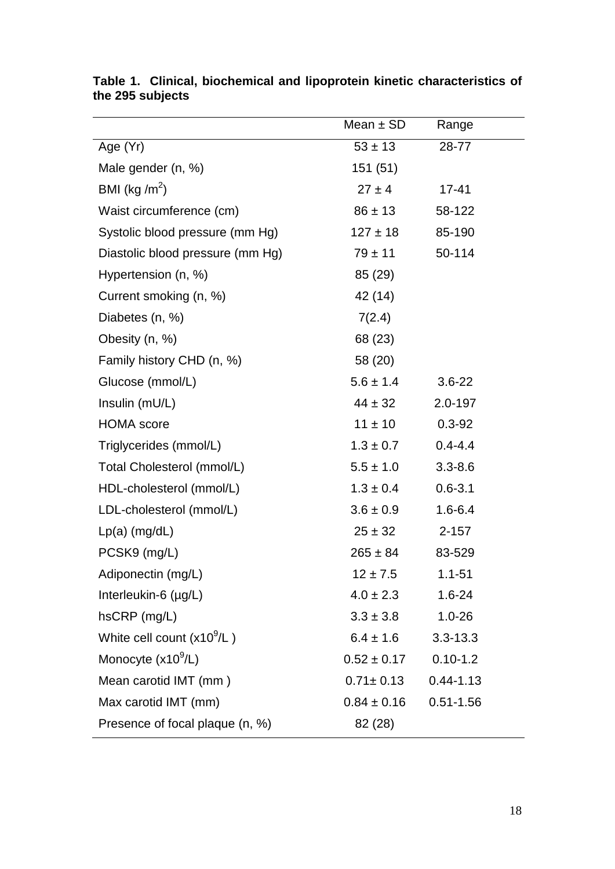|                                  | Mean $\pm$ SD   | Range         |
|----------------------------------|-----------------|---------------|
| Age (Yr)                         | $53 \pm 13$     | 28-77         |
| Male gender (n, %)               | 151(51)         |               |
| BMI (kg / $m^2$ )                | $27 \pm 4$      | $17 - 41$     |
| Waist circumference (cm)         | $86 \pm 13$     | 58-122        |
| Systolic blood pressure (mm Hg)  | $127 \pm 18$    | 85-190        |
| Diastolic blood pressure (mm Hg) | $79 \pm 11$     | 50-114        |
| Hypertension (n, %)              | 85 (29)         |               |
| Current smoking (n, %)           | 42 (14)         |               |
| Diabetes (n, %)                  | 7(2.4)          |               |
| Obesity (n, %)                   | 68 (23)         |               |
| Family history CHD (n, %)        | 58 (20)         |               |
| Glucose (mmol/L)                 | $5.6 \pm 1.4$   | $3.6 - 22$    |
| Insulin (mU/L)                   | $44 \pm 32$     | 2.0-197       |
| <b>HOMA</b> score                | $11 \pm 10$     | $0.3 - 92$    |
| Triglycerides (mmol/L)           | $1.3 \pm 0.7$   | $0.4 - 4.4$   |
| Total Cholesterol (mmol/L)       | $5.5 \pm 1.0$   | $3.3 - 8.6$   |
| HDL-cholesterol (mmol/L)         | $1.3 \pm 0.4$   | $0.6 - 3.1$   |
| LDL-cholesterol (mmol/L)         | $3.6 \pm 0.9$   | $1.6 - 6.4$   |
| $Lp(a)$ (mg/dL)                  | $25 \pm 32$     | $2 - 157$     |
| PCSK9 (mg/L)                     | $265 \pm 84$    | 83-529        |
| Adiponectin (mg/L)               | $12 \pm 7.5$    | $1.1 - 51$    |
| Interleukin-6 (µg/L)             | $4.0 \pm 2.3$   | $1.6 - 24$    |
| hsCRP (mg/L)                     | $3.3 \pm 3.8$   | $1.0 - 26$    |
| White cell count $(x10^9/L)$     | $6.4 \pm 1.6$   | $3.3 - 13.3$  |
| Monocyte $(x10^9/L)$             | $0.52 \pm 0.17$ | $0.10 - 1.2$  |
| Mean carotid IMT (mm)            | $0.71 \pm 0.13$ | $0.44 - 1.13$ |
| Max carotid IMT (mm)             | $0.84 \pm 0.16$ | $0.51 - 1.56$ |
| Presence of focal plaque (n, %)  | 82 (28)         |               |

|                  |  |  | Table 1. Clinical, biochemical and lipoprotein kinetic characteristics of |  |
|------------------|--|--|---------------------------------------------------------------------------|--|
| the 295 subjects |  |  |                                                                           |  |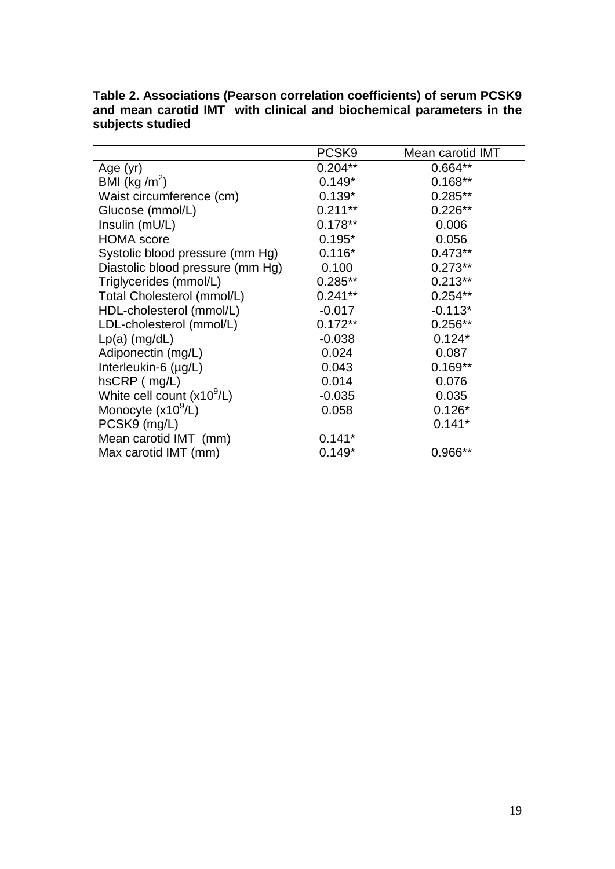|                                  | PCSK9      | Mean carotid IMT |
|----------------------------------|------------|------------------|
| Age (yr)                         | $0.204**$  | $0.664**$        |
| BMI (kg /m <sup>2</sup> )        | $0.149*$   | $0.168**$        |
| Waist circumference (cm)         | $0.139*$   | $0.285**$        |
| Glucose (mmol/L)                 | $0.211***$ | $0.226**$        |
| Insulin (mU/L)                   | $0.178**$  | 0.006            |
| <b>HOMA</b> score                | $0.195*$   | 0.056            |
| Systolic blood pressure (mm Hg)  | $0.116*$   | $0.473**$        |
| Diastolic blood pressure (mm Hg) | 0.100      | $0.273**$        |
| Triglycerides (mmol/L)           | $0.285**$  | $0.213**$        |
| Total Cholesterol (mmol/L)       | $0.241**$  | $0.254**$        |
| HDL-cholesterol (mmol/L)         | $-0.017$   | $-0.113*$        |
| LDL-cholesterol (mmol/L)         | $0.172**$  | $0.256**$        |
| $Lp(a)$ (mg/dL)                  | $-0.038$   | $0.124*$         |
| Adiponectin (mg/L)               | 0.024      | 0.087            |
| Interleukin-6 (µg/L)             | 0.043      | $0.169**$        |
| $hSCRP$ ( $mg/L$ )               | 0.014      | 0.076            |
| White cell count $(x10^9/L)$     | $-0.035$   | 0.035            |
| Monocyte $(x10^9/L)$             | 0.058      | $0.126*$         |
| PCSK9 (mg/L)                     |            | $0.141*$         |
| Mean carotid IMT (mm)            | $0.141*$   |                  |
| Max carotid IMT (mm)             | $0.149*$   | 0.966**          |

**Table 2. Associations (Pearson correlation coefficients) of serum PCSK9 and mean carotid IMT with clinical and biochemical parameters in the subjects studied**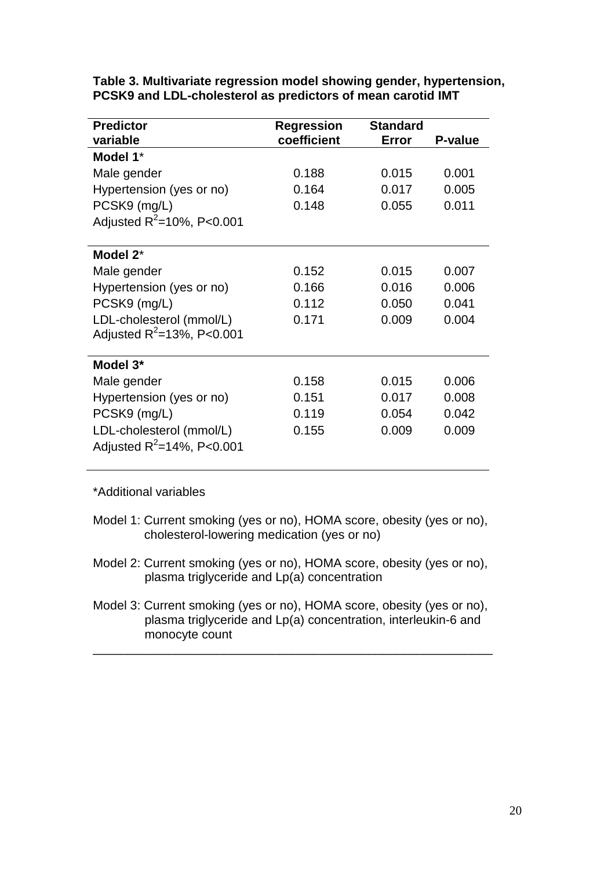| <b>Predictor</b>                | <b>Regression</b> | <b>Standard</b> |                |
|---------------------------------|-------------------|-----------------|----------------|
| variable                        | coefficient       | Error           | <b>P-value</b> |
| Model 1*                        |                   |                 |                |
| Male gender                     | 0.188             | 0.015           | 0.001          |
| Hypertension (yes or no)        | 0.164             | 0.017           | 0.005          |
| PCSK9 (mg/L)                    | 0.148             | 0.055           | 0.011          |
| Adjusted $R^2$ =10%, P<0.001    |                   |                 |                |
|                                 |                   |                 |                |
| Model 2 <sup>*</sup>            |                   |                 |                |
| Male gender                     | 0.152             | 0.015           | 0.007          |
| Hypertension (yes or no)        | 0.166             | 0.016           | 0.006          |
| PCSK9 (mg/L)                    | 0.112             | 0.050           | 0.041          |
| LDL-cholesterol (mmol/L)        | 0.171             | 0.009           | 0.004          |
| Adjusted $R^2 = 13\%$ , P<0.001 |                   |                 |                |
|                                 |                   |                 |                |
| Model 3*                        |                   |                 |                |
| Male gender                     | 0.158             | 0.015           | 0.006          |
| Hypertension (yes or no)        | 0.151             | 0.017           | 0.008          |
| PCSK9 (mg/L)                    | 0.119             | 0.054           | 0.042          |
| LDL-cholesterol (mmol/L)        | 0.155             | 0.009           | 0.009          |
| Adjusted $R^2 = 14\%$ , P<0.001 |                   |                 |                |
|                                 |                   |                 |                |

**Table 3. Multivariate regression model showing gender, hypertension, PCSK9 and LDL-cholesterol as predictors of mean carotid IMT** 

\*Additional variables

- Model 1: Current smoking (yes or no), HOMA score, obesity (yes or no), cholesterol-lowering medication (yes or no)
- Model 2: Current smoking (yes or no), HOMA score, obesity (yes or no), plasma triglyceride and Lp(a) concentration
- Model 3: Current smoking (yes or no), HOMA score, obesity (yes or no), plasma triglyceride and Lp(a) concentration, interleukin-6 and monocyte count

\_\_\_\_\_\_\_\_\_\_\_\_\_\_\_\_\_\_\_\_\_\_\_\_\_\_\_\_\_\_\_\_\_\_\_\_\_\_\_\_\_\_\_\_\_\_\_\_\_\_\_\_\_\_\_\_\_\_